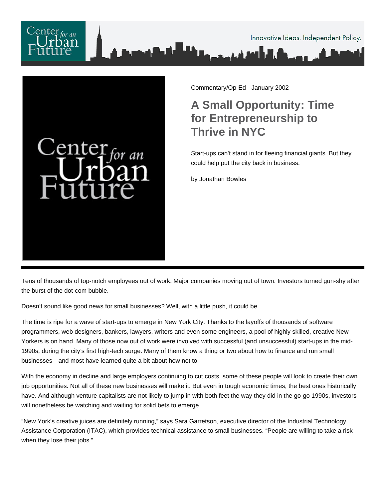



Commentary/Op-Ed - January 2002

## **A Small Opportunity: Time for Entrepreneurship to Thrive in NYC**

Start-ups can't stand in for fleeing financial giants. But they could help put the city back in business.

by Jonathan Bowles

Tens of thousands of top-notch employees out of work. Major companies moving out of town. Investors turned gun-shy after the burst of the dot-com bubble.

Doesn't sound like good news for small businesses? Well, with a little push, it could be.

The time is ripe for a wave of start-ups to emerge in New York City. Thanks to the layoffs of thousands of software programmers, web designers, bankers, lawyers, writers and even some engineers, a pool of highly skilled, creative New Yorkers is on hand. Many of those now out of work were involved with successful (and unsuccessful) start-ups in the mid-1990s, during the city's first high-tech surge. Many of them know a thing or two about how to finance and run small businesses—and most have learned quite a bit about how not to.

With the economy in decline and large employers continuing to cut costs, some of these people will look to create their own job opportunities. Not all of these new businesses will make it. But even in tough economic times, the best ones historically have. And although venture capitalists are not likely to jump in with both feet the way they did in the go-go 1990s, investors will nonetheless be watching and waiting for solid bets to emerge.

"New York's creative juices are definitely running," says Sara Garretson, executive director of the Industrial Technology Assistance Corporation (ITAC), which provides technical assistance to small businesses. "People are willing to take a risk when they lose their jobs."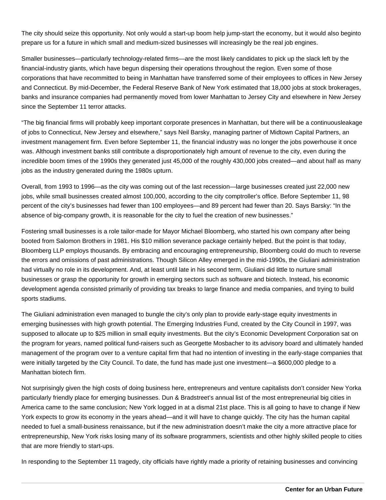The city should seize this opportunity. Not only would a start-up boom help jump-start the economy, but it would also beginto prepare us for a future in which small and medium-sized businesses will increasingly be the real job engines.

Smaller businesses—particularly technology-related firms—are the most likely candidates to pick up the slack left by the financial-industry giants, which have begun dispersing their operations throughout the region. Even some of those corporations that have recommitted to being in Manhattan have transferred some of their employees to offices in New Jersey and Connecticut. By mid-December, the Federal Reserve Bank of New York estimated that 18,000 jobs at stock brokerages, banks and insurance companies had permanently moved from lower Manhattan to Jersey City and elsewhere in New Jersey since the September 11 terror attacks.

"The big financial firms will probably keep important corporate presences in Manhattan, but there will be a continuous leakage of jobs to Connecticut, New Jersey and elsewhere," says Neil Barsky, managing partner of Midtown Capital Partners, an investment management firm. Even before September 11, the financial industry was no longer the jobs powerhouse it once was. Although investment banks still contribute a disproportionately high amount of revenue to the city, even during the incredible boom times of the 1990s they generated just 45,000 of the roughly 430,000 jobs created—and about half as many jobs as the industry generated during the 1980s upturn.

Overall, from 1993 to 1996—as the city was coming out of the last recession—large businesses created just 22,000 new jobs, while small businesses created almost 100,000, according to the city comptroller's office. Before September 11, 98 percent of the city's businesses had fewer than 100 employees—and 89 percent had fewer than 20. Says Barsky: "In the absence of big-company growth, it is reasonable for the city to fuel the creation of new businesses."

Fostering small businesses is a role tailor-made for Mayor Michael Bloomberg, who started his own company after being booted from Salomon Brothers in 1981. His \$10 million severance package certainly helped. But the point is that today, Bloomberg LLP employs thousands. By embracing and encouraging entrepreneurship, Bloomberg could do much to reverse the errors and omissions of past administrations. Though Silicon Alley emerged in the mid-1990s, the Giuliani administration had virtually no role in its development. And, at least until late in his second term, Giuliani did little to nurture small businesses or grasp the opportunity for growth in emerging sectors such as software and biotech. Instead, his economic development agenda consisted primarily of providing tax breaks to large finance and media companies, and trying to build sports stadiums.

The Giuliani administration even managed to bungle the city's only plan to provide early-stage equity investments in emerging businesses with high growth potential. The Emerging Industries Fund, created by the City Council in 1997, was supposed to allocate up to \$25 million in small equity investments. But the city's Economic Development Corporation sat on the program for years, named political fund-raisers such as Georgette Mosbacher to its advisory board and ultimately handed management of the program over to a venture capital firm that had no intention of investing in the early-stage companies that were initially targeted by the City Council. To date, the fund has made just one investment—a \$600,000 pledge to a Manhattan biotech firm.

Not surprisingly given the high costs of doing business here, entrepreneurs and venture capitalists don't consider New Yorka particularly friendly place for emerging businesses. Dun & Bradstreet's annual list of the most entrepreneurial big cities in America came to the same conclusion; New York logged in at a dismal 21st place. This is all going to have to change if New York expects to grow its economy in the years ahead—and it will have to change quickly. The city has the human capital needed to fuel a small-business renaissance, but if the new administration doesn't make the city a more attractive place for entrepreneurship, New York risks losing many of its software programmers, scientists and other highly skilled people to cities that are more friendly to start-ups.

In responding to the September 11 tragedy, city officials have rightly made a priority of retaining businesses and convincing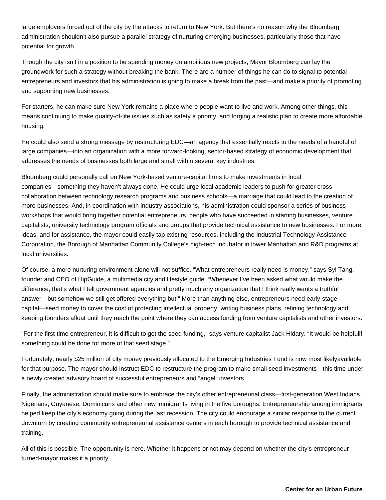large employers forced out of the city by the attacks to return to New York. But there's no reason why the Bloomberg administration shouldn't also pursue a parallel strategy of nurturing emerging businesses, particularly those that have potential for growth.

Though the city isn't in a position to be spending money on ambitious new projects, Mayor Bloomberg can lay the groundwork for such a strategy without breaking the bank. There are a number of things he can do to signal to potential entrepreneurs and investors that his administration is going to make a break from the past—and make a priority of promoting and supporting new businesses.

For starters, he can make sure New York remains a place where people want to live and work. Among other things, this means continuing to make quality-of-life issues such as safety a priority, and forging a realistic plan to create more affordable housing.

He could also send a strong message by restructuring EDC—an agency that essentially reacts to the needs of a handful of large companies—into an organization with a more forward-looking, sector-based strategy of economic development that addresses the needs of businesses both large and small within several key industries.

Bloomberg could personally call on New York-based venture-capital firms to make investments in local companies—something they haven't always done. He could urge local academic leaders to push for greater crosscollaboration between technology research programs and business schools—a marriage that could lead to the creation of more businesses. And, in coordination with industry associations, his administration could sponsor a series of business workshops that would bring together potential entrepreneurs, people who have succeeded in starting businesses, venture capitalists, university technology program officials and groups that provide technical assistance to new businesses. For more ideas, and for assistance, the mayor could easily tap existing resources, including the Industrial Technology Assistance Corporation, the Borough of Manhattan Community College's high-tech incubator in lower Manhattan and R&D programs at local universities.

Of course, a more nurturing environment alone will not suffice. "What entrepreneurs really need is money," says Syl Tang, founder and CEO of HipGuide, a multimedia city and lifestyle guide. "Whenever I've been asked what would make the difference, that's what I tell government agencies and pretty much any organization that I think really wants a truthful answer—but somehow we still get offered everything but." More than anything else, entrepreneurs need early-stage capital—seed money to cover the cost of protecting intellectual property, writing business plans, refining technology and keeping founders afloat until they reach the point where they can access funding from venture capitalists and other investors.

"For the first-time entrepreneur, it is difficult to get the seed funding," says venture capitalist Jack Hidary. "It would be helpfulif something could be done for more of that seed stage."

Fortunately, nearly \$25 million of city money previously allocated to the Emerging Industries Fund is now most likely available for that purpose. The mayor should instruct EDC to restructure the program to make small seed investments—this time under a newly created advisory board of successful entrepreneurs and "angel" investors.

Finally, the administration should make sure to embrace the city's other entrepreneurial class—first-generation West Indians, Nigerians, Guyanese, Dominicans and other new immigrants living in the five boroughs. Entrepreneurship among immigrants helped keep the city's economy going during the last recession. The city could encourage a similar response to the current downturn by creating community entrepreneurial assistance centers in each borough to provide technical assistance and training.

All of this is possible. The opportunity is here. Whether it happens or not may depend on whether the city's entrepreneurturned-mayor makes it a priority.